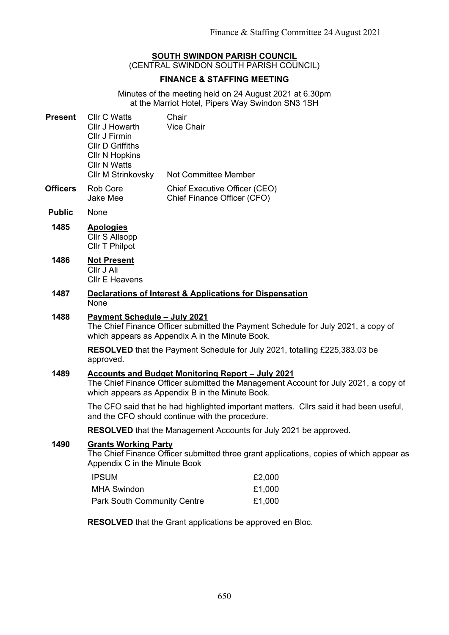# **SOUTH SWINDON PARISH COUNCIL**

(CENTRAL SWINDON SOUTH PARISH COUNCIL)

# **FINANCE & STAFFING MEETING**

Minutes of the meeting held on 24 August 2021 at 6.30pm at the Marriot Hotel, Pipers Way Swindon SN3 1SH

| <b>Present</b> | CIIr C Watts              | Chair                       |
|----------------|---------------------------|-----------------------------|
|                | Cllr J Howarth            | <b>Vice Chair</b>           |
|                | Cllr J Firmin             |                             |
|                | <b>CIIr D Griffiths</b>   |                             |
|                | <b>CIIr N Hopkins</b>     |                             |
|                | <b>CIIr N Watts</b>       |                             |
|                | <b>CIIr M Strinkovsky</b> | <b>Not Committee Member</b> |
|                |                           |                             |

- **Officers** Rob Core Jake Mee Chief Executive Officer (CEO) Chief Finance Officer (CFO)
- **Public** None
- **1485 Apologies** Cllr S Allsopp Cllr T Philpot
- **1486 Not Present** Cllr J Ali Cllr E Heavens
- **1487 Declarations of Interest & Applications for Dispensation** None

# **1488 Payment Schedule – July 2021**

The Chief Finance Officer submitted the Payment Schedule for July 2021, a copy of which appears as Appendix A in the Minute Book.

**RESOLVED** that the Payment Schedule for July 2021, totalling £225,383.03 be approved.

## **1489 Accounts and Budget Monitoring Report – July 2021**

The Chief Finance Officer submitted the Management Account for July 2021, a copy of which appears as Appendix B in the Minute Book.

The CFO said that he had highlighted important matters. Cllrs said it had been useful, and the CFO should continue with the procedure.

**RESOLVED** that the Management Accounts for July 2021 be approved.

## **1490 Grants Working Party**

The Chief Finance Officer submitted three grant applications, copies of which appear as Appendix C in the Minute Book

| <b>IPSUM</b>                       | £2,000 |
|------------------------------------|--------|
| <b>MHA Swindon</b>                 | £1,000 |
| <b>Park South Community Centre</b> | £1,000 |

**RESOLVED** that the Grant applications be approved en Bloc.